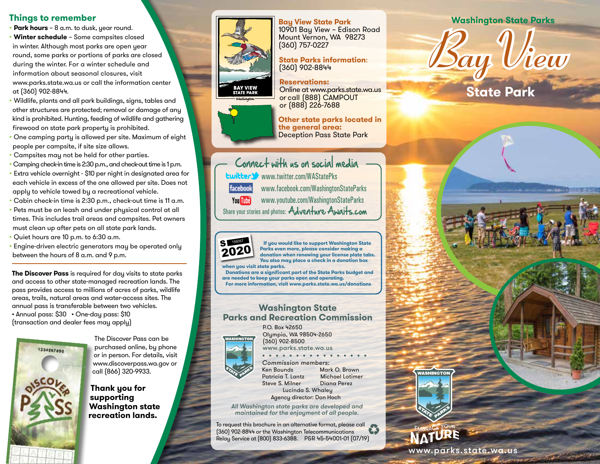### **Things to remember**

- **Park hours** 8 a.m. to dusk, year round. • **Winter schedule** – Some campsites closed in winter. Although most parks are open year round, some parks or portions of parks are closed during the winter. For a winter schedule and information about seasonal closures, visit www.parks.state.wa.us or call the information center at (360) 902-8844.
- Wildlife, plants and all park buildings, signs, tables and other structures are protected; removal or damage of any kind is prohibited. Hunting, feeding of wildlife and gathering firewood on state park property is prohibited.
- One camping party is allowed per site. Maximum of eight people per campsite, if site size allows.
- Campsites may not be held for other parties.
- Camping check-in time is 2:30 p.m., and check-out time is 1 p.m.
- Extra vehicle overnight \$10 per night in designated area for each vehicle in excess of the one allowed per site. Does not apply to vehicle towed by a recreational vehicle.
- Cabin check-in time is 2:30 p.m., check-out time is 11 a.m.
- Pets must be on leash and under physical control at all times. This includes trail areas and campsites. Pet owners must clean up after pets on all state park lands. 2017
- Quiet hours are 10 p.m. to 6:30 a.m.
- Engine-driven electric generators may be operated only between the hours of 8 a.m. and 9 p.m.

**The Discover Pass** is required for day visits to state parks and access to other state-managed recreation lands. The pass provides access to millions of acres of parks, wildlife areas, trails, natural areas and water-access sites. The annual pass is transferable between two vehicles. • Annual pass: \$30 • One-day pass: \$10 (transaction and dealer fees may apply)



The Discover Pass can be purchased online, by phone or in person. For details, visit www.discoverpass.wa.gov or call (866) 320-9933.

**Thank you for supporting Washington state recreation lands.**



10901 Bay View – Edison Road Mount Vernon, WA 98273 (360) 757-0227

#### **State Parks information**: (360) 902-8844

**Reservations:** Online at www.parks.state.wa.us or call (888) CAMPOUT or (888) 226-7688

**Other state parks located in the general area:**  Deception Pass State Park

Connect with us on social media www.twitter.com/WAStatePks facebook www.facebook.com/WashingtonStateParks You Tube www.youtube.com/WashingtonStateParks Share your stories and photos: Adventure Awalts.com



2019 S <sup>159357</sup>

2018

 **If you would like to support Washington State Parks even more, please consider making a donation when renewing your license plate tabs. You also may place a check in a donation box when you visit state parks.** 

 **Donations are a significant part of the State Parks budget and are needed to keep your parks open and operating. For more information, visit www.parks.state.wa.us/donations**

### **Washington State Parks and Recreation Commission**



P.O. Box 42650 Olympia, WA 98504-2650 (360) 902-8500

www.parks.state.wa.us • • • • • • • • • • • • • • • • Commission members:

Steve S. Milner

Ken Bounds Mark O. Brown Patricia T. Lantz<br>Steve S. Milner Diana Perez

 Lucinda S. Whaley Agency director: Don Hoch

All Washington state parks are developed and maintained for the enjoyment of all people.

To request this brochure in an alternative format, please call (360) 902-8844 or the Washington Telecommunications Relay Service at (800) 833-6388. P&R 45-54001-01 (07/19)

### **Bay View State Park Washington State Parks**

*Bay View*

**State Park**